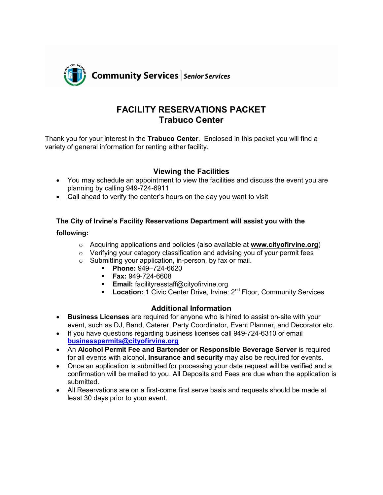

# **FACILITY RESERVATIONS PACKET Trabuco Center**

Thank you for your interest in the **Trabuco Center**. Enclosed in this packet you will find a variety of general information for renting either facility.

## **Viewing the Facilities**

- You may schedule an appointment to view the facilities and discuss the event you are planning by calling 949-724-6911
- Call ahead to verify the center's hours on the day you want to visit

#### **The City of Irvine's Facility Reservations Department will assist you with the**

#### **following:**

- o Acquiring applications and policies (also available at **www.cityofirvine.org**)
- $\circ$  Verifying your category classification and advising you of your permit fees
- o Submitting your application, in-person, by fax or mail.
	- **Phone:** 949–724-6620
	- **Fax:** 949-724-6608
	- **Email:** facilityresstaff@cityofirvine.org
	- **Location:** 1 Civic Center Drive, Irvine: 2<sup>nd</sup> Floor, Community Services

#### **Additional Information**

- **Business Licenses** are required for anyone who is hired to assist on-site with your event, such as DJ, Band, Caterer, Party Coordinator, Event Planner, and Decorator etc.
- If you have questions regarding business licenses call 949-724-6310 or email **businesspermits@cityofirvine.org**
- An **Alcohol Permit Fee and Bartender or Responsible Beverage Server** is required for all events with alcohol. **Insurance and security** may also be required for events.
- Once an application is submitted for processing your date request will be verified and a confirmation will be mailed to you. All Deposits and Fees are due when the application is submitted.
- All Reservations are on a first-come first serve basis and requests should be made at least 30 days prior to your event.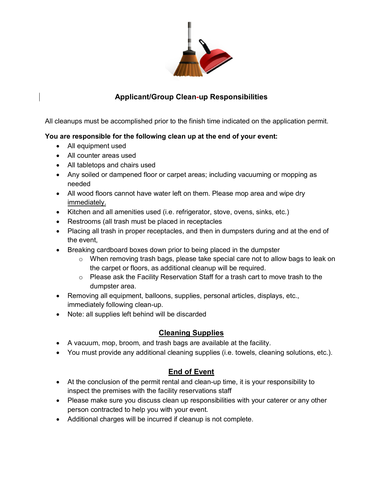

# **Applicant/Group Clean-up Responsibilities**

All cleanups must be accomplished prior to the finish time indicated on the application permit.

#### **You are responsible for the following clean up at the end of your event:**

- All equipment used
- All counter areas used
- All tabletops and chairs used
- Any soiled or dampened floor or carpet areas; including vacuuming or mopping as needed
- All wood floors cannot have water left on them. Please mop area and wipe dry immediately.
- Kitchen and all amenities used (i.e. refrigerator, stove, ovens, sinks, etc.)
- Restrooms (all trash must be placed in receptacles
- Placing all trash in proper receptacles, and then in dumpsters during and at the end of the event,
- Breaking cardboard boxes down prior to being placed in the dumpster
	- $\circ$  When removing trash bags, please take special care not to allow bags to leak on the carpet or floors, as additional cleanup will be required.
	- o Please ask the Facility Reservation Staff for a trash cart to move trash to the dumpster area.
- Removing all equipment, balloons, supplies, personal articles, displays, etc., immediately following clean-up.
- Note: all supplies left behind will be discarded

# **Cleaning Supplies**

- A vacuum, mop, broom, and trash bags are available at the facility.
- You must provide any additional cleaning supplies (i.e. towels, cleaning solutions, etc.).

# **End of Event**

- At the conclusion of the permit rental and clean-up time, it is your responsibility to inspect the premises with the facility reservations staff
- Please make sure you discuss clean up responsibilities with your caterer or any other person contracted to help you with your event.
- Additional charges will be incurred if cleanup is not complete.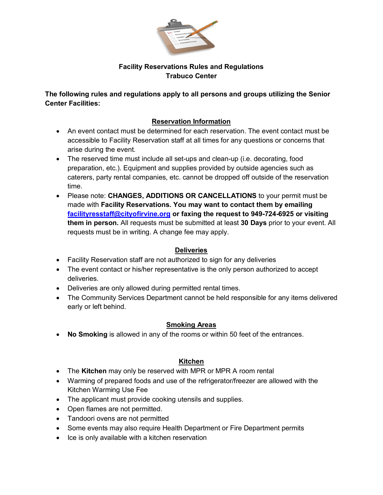

#### **Facility Reservations Rules and Regulations Trabuco Center**

**The following rules and regulations apply to all persons and groups utilizing the Senior Center Facilities:**

## **Reservation Information**

- An event contact must be determined for each reservation. The event contact must be accessible to Facility Reservation staff at all times for any questions or concerns that arise during the event.
- The reserved time must include all set-ups and clean-up (i.e. decorating, food preparation, etc.). Equipment and supplies provided by outside agencies such as caterers, party rental companies, etc. cannot be dropped off outside of the reservation time.
- Please note: **CHANGES, ADDITIONS OR CANCELLATIONS** to your permit must be made with **Facility Reservations. You may want to contact them by emailing facilityresstaff@cityofirvine.org or faxing the request to 949-724-6925 or visiting them in person.** All requests must be submitted at least **30 Days** prior to your event. All requests must be in writing. A change fee may apply.

#### **Deliveries**

- Facility Reservation staff are not authorized to sign for any deliveries
- The event contact or his/her representative is the only person authorized to accept deliveries.
- Deliveries are only allowed during permitted rental times.
- The Community Services Department cannot be held responsible for any items delivered early or left behind.

#### **Smoking Areas**

**No Smoking** is allowed in any of the rooms or within 50 feet of the entrances.

# **Kitchen**

- The **Kitchen** may only be reserved with MPR or MPR A room rental
- Warming of prepared foods and use of the refrigerator/freezer are allowed with the Kitchen Warming Use Fee
- The applicant must provide cooking utensils and supplies.
- Open flames are not permitted.
- Tandoori ovens are not permitted
- Some events may also require Health Department or Fire Department permits
- Ice is only available with a kitchen reservation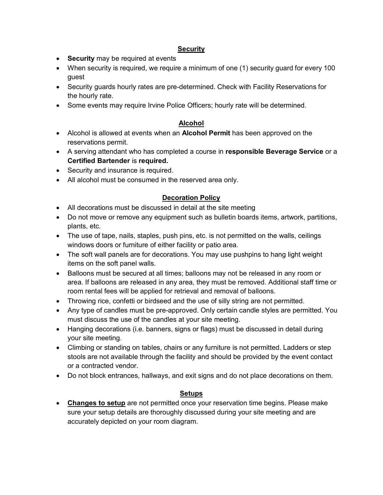#### **Security**

- **Security** may be required at events
- When security is required, we require a minimum of one (1) security guard for every 100 guest
- Security guards hourly rates are pre-determined. Check with Facility Reservations for the hourly rate.
- Some events may require Irvine Police Officers; hourly rate will be determined.

## **Alcohol**

- Alcohol is allowed at events when an **Alcohol Permit** has been approved on the reservations permit.
- A serving attendant who has completed a course in **responsible Beverage Service** or a **Certified Bartender** is **required.**
- Security and insurance is required.
- All alcohol must be consumed in the reserved area only.

# **Decoration Policy**

- All decorations must be discussed in detail at the site meeting
- Do not move or remove any equipment such as bulletin boards items, artwork, partitions, plants, etc.
- The use of tape, nails, staples, push pins, etc. is not permitted on the walls, ceilings windows doors or furniture of either facility or patio area.
- The soft wall panels are for decorations. You may use pushpins to hang light weight items on the soft panel walls.
- Balloons must be secured at all times; balloons may not be released in any room or area. If balloons are released in any area, they must be removed. Additional staff time or room rental fees will be applied for retrieval and removal of balloons.
- Throwing rice, confetti or birdseed and the use of silly string are not permitted.
- Any type of candles must be pre-approved. Only certain candle styles are permitted. You must discuss the use of the candles at your site meeting.
- Hanging decorations (i.e. banners, signs or flags) must be discussed in detail during your site meeting.
- Climbing or standing on tables, chairs or any furniture is not permitted. Ladders or step stools are not available through the facility and should be provided by the event contact or a contracted vendor.
- Do not block entrances, hallways, and exit signs and do not place decorations on them.

#### **Setups**

 **Changes to setup** are not permitted once your reservation time begins. Please make sure your setup details are thoroughly discussed during your site meeting and are accurately depicted on your room diagram.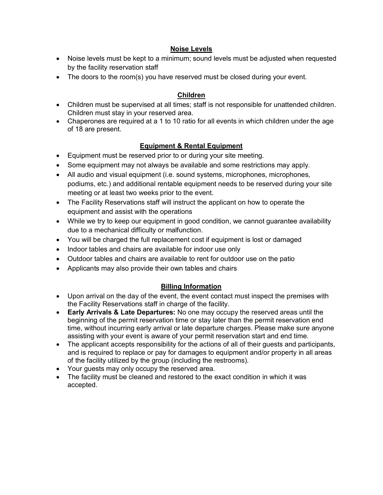#### **Noise Levels**

- Noise levels must be kept to a minimum; sound levels must be adjusted when requested by the facility reservation staff
- The doors to the room(s) you have reserved must be closed during your event.

#### **Children**

- Children must be supervised at all times; staff is not responsible for unattended children. Children must stay in your reserved area.
- Chaperones are required at a 1 to 10 ratio for all events in which children under the age of 18 are present.

# **Equipment & Rental Equipment**

- Equipment must be reserved prior to or during your site meeting.
- Some equipment may not always be available and some restrictions may apply.
- All audio and visual equipment (i.e. sound systems, microphones, microphones, podiums, etc.) and additional rentable equipment needs to be reserved during your site meeting or at least two weeks prior to the event.
- The Facility Reservations staff will instruct the applicant on how to operate the equipment and assist with the operations
- While we try to keep our equipment in good condition, we cannot guarantee availability due to a mechanical difficulty or malfunction.
- You will be charged the full replacement cost if equipment is lost or damaged
- Indoor tables and chairs are available for indoor use only
- Outdoor tables and chairs are available to rent for outdoor use on the patio
- Applicants may also provide their own tables and chairs

# **Billing Information**

- Upon arrival on the day of the event, the event contact must inspect the premises with the Facility Reservations staff in charge of the facility.
- **Early Arrivals & Late Departures:** No one may occupy the reserved areas until the beginning of the permit reservation time or stay later than the permit reservation end time, without incurring early arrival or late departure charges. Please make sure anyone assisting with your event is aware of your permit reservation start and end time.
- The applicant accepts responsibility for the actions of all of their quests and participants, and is required to replace or pay for damages to equipment and/or property in all areas of the facility utilized by the group (including the restrooms).
- Your guests may only occupy the reserved area.
- The facility must be cleaned and restored to the exact condition in which it was accepted.